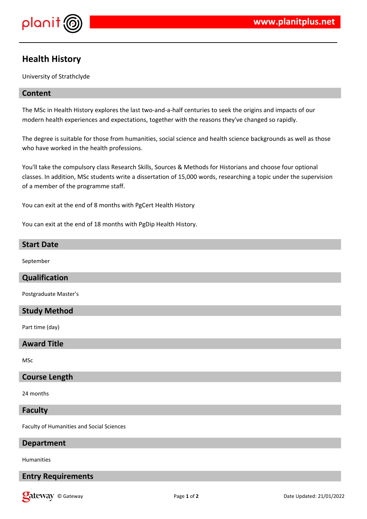

# **Health History**

University of Strathclyde

# **Content**

The MSc in Health History explores the last two-and-a-half centuries to seek the origins and impacts of our modern health experiences and expectations, together with the reasons they've changed so rapidly.

The degree is suitable for those from humanities, social science and health science backgrounds as well as those who have worked in the health professions.

You'll take the compulsory class Research Skills, Sources & Methods for Historians and choose four optional classes. In addition, MSc students write a dissertation of 15,000 words, researching a topic under the supervision of a member of the programme staff.

You can exit at the end of 8 months with PgCert Health History

You can exit at the end of 18 months with PgDip Health History.

#### **Start Date**

September

## **Qualification**

Postgraduate Master's

# **Study Method**

Part time (day)

## **Award Title**

MSc

#### **Course Length**

24 months

#### **Faculty**

Faculty of Humanities and Social Sciences

#### **Department**

Humanities

# **Entry Requirements**